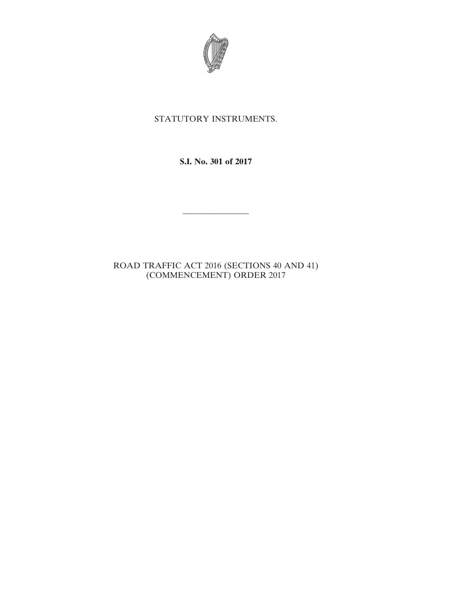

## STATUTORY INSTRUMENTS.

**S.I. No. 301 of 2017**

————————

ROAD TRAFFIC ACT 2016 (SECTIONS 40 AND 41) (COMMENCEMENT) ORDER 2017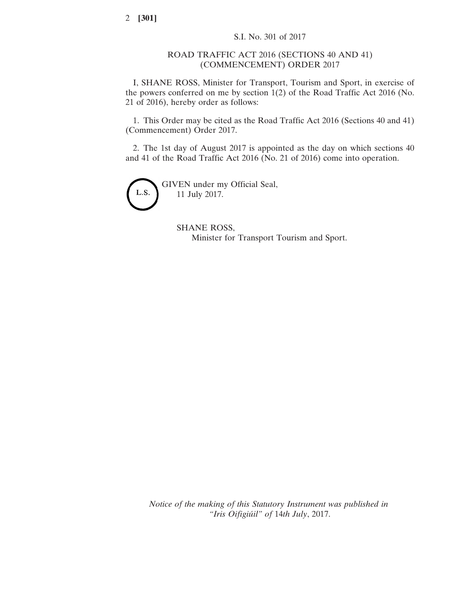2 **[301]**

## ROAD TRAFFIC ACT 2016 (SECTIONS 40 AND 41) (COMMENCEMENT) ORDER 2017

I, SHANE ROSS, Minister for Transport, Tourism and Sport, in exercise of the powers conferred on me by section 1(2) of the Road Traffic Act 2016 (No. 21 of 2016), hereby order as follows:

1. This Order may be cited as the Road Traffic Act 2016 (Sections 40 and 41) (Commencement) Order 2017.

2. The 1st day of August 2017 is appointed as the day on which sections 40 and 41 of the Road Traffic Act 2016 (No. 21 of 2016) come into operation.



SHANE ROSS, Minister for Transport Tourism and Sport.

*Notice of the making of this Statutory Instrument was published in "Iris Oifigiúil" of* 14*th July*, 2017.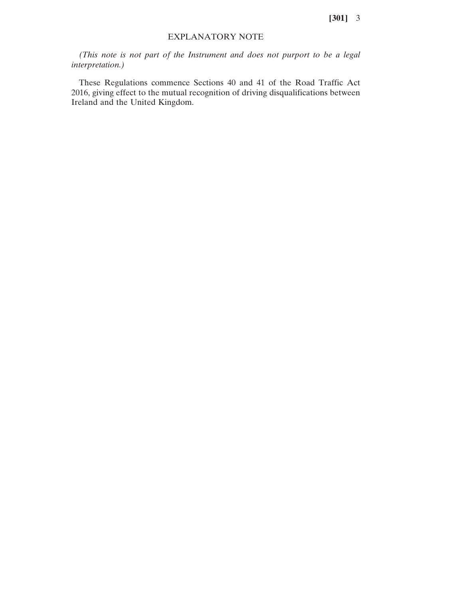**[301]** 3

## EXPLANATORY NOTE

*(This note is not part of the Instrument and does not purport to be a legal interpretation.)*

These Regulations commence Sections 40 and 41 of the Road Traffic Act 2016, giving effect to the mutual recognition of driving disqualifications between Ireland and the United Kingdom.